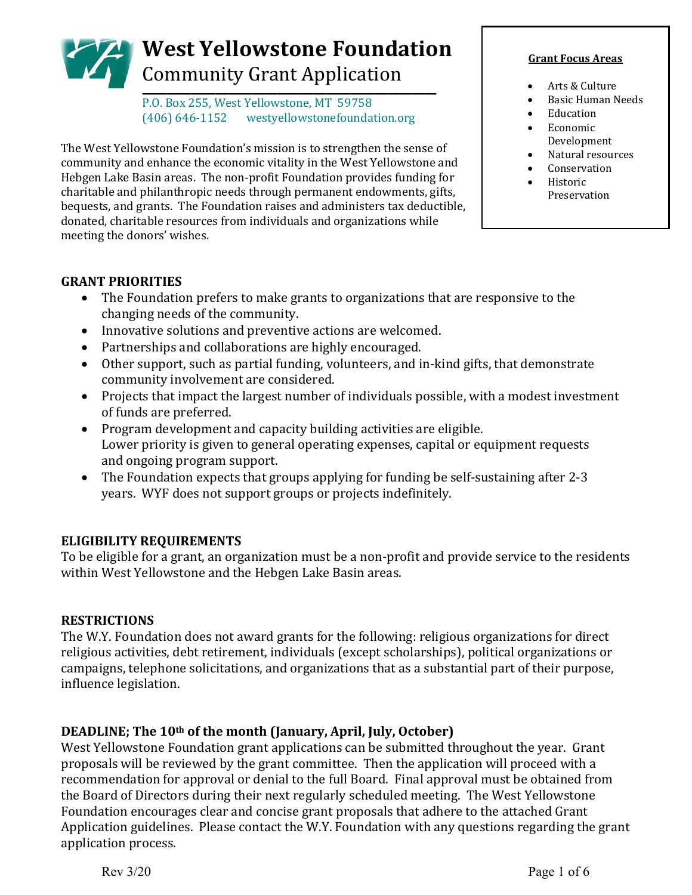# **West Yellowstone Foundation** Community Grant Application \_\_\_\_\_\_\_\_\_\_\_\_\_\_\_\_\_\_\_\_\_\_\_\_

P.O. Box 255, West Yellowstone, MT 59758<br>(406) 646-1152 westyellowstonefounda westyellowstonefoundation.org

The West Yellowstone Foundation's mission is to strengthen the sense of community and enhance the economic vitality in the West Yellowstone and Hebgen Lake Basin areas. The non-profit Foundation provides funding for charitable and philanthropic needs through permanent endowments, gifts, bequests, and grants. The Foundation raises and administers tax deductible, donated, charitable resources from individuals and organizations while meeting the donors' wishes.

#### **Grant Focus Areas**

- Arts & Culture
- Basic Human Needs
- **Education**
- Economic Development
- Natural resources
- **Conservation**
- Historic Preservation

#### **GRANT PRIORITIES**

- The Foundation prefers to make grants to organizations that are responsive to the changing needs of the community.
- Innovative solutions and preventive actions are welcomed.
- Partnerships and collaborations are highly encouraged.
- Other support, such as partial funding, volunteers, and in-kind gifts, that demonstrate community involvement are considered.
- Projects that impact the largest number of individuals possible, with a modest investment of funds are preferred.
- Program development and capacity building activities are eligible. Lower priority is given to general operating expenses, capital or equipment requests and ongoing program support.
- The Foundation expects that groups applying for funding be self-sustaining after 2-3 years. WYF does not support groups or projects indefinitely.

#### **ELIGIBILITY REQUIREMENTS**

To be eligible for a grant, an organization must be a non-profit and provide service to the residents within West Yellowstone and the Hebgen Lake Basin areas.

#### **RESTRICTIONS**

The W.Y. Foundation does not award grants for the following: religious organizations for direct religious activities, debt retirement, individuals (except scholarships), political organizations or campaigns, telephone solicitations, and organizations that as a substantial part of their purpose, influence legislation.

#### **DEADLINE; The 10th of the month (January, April, July, October)**

West Yellowstone Foundation grant applications can be submitted throughout the year. Grant proposals will be reviewed by the grant committee. Then the application will proceed with a recommendation for approval or denial to the full Board. Final approval must be obtained from the Board of Directors during their next regularly scheduled meeting. The West Yellowstone Foundation encourages clear and concise grant proposals that adhere to the attached Grant Application guidelines. Please contact the W.Y. Foundation with any questions regarding the grant application process.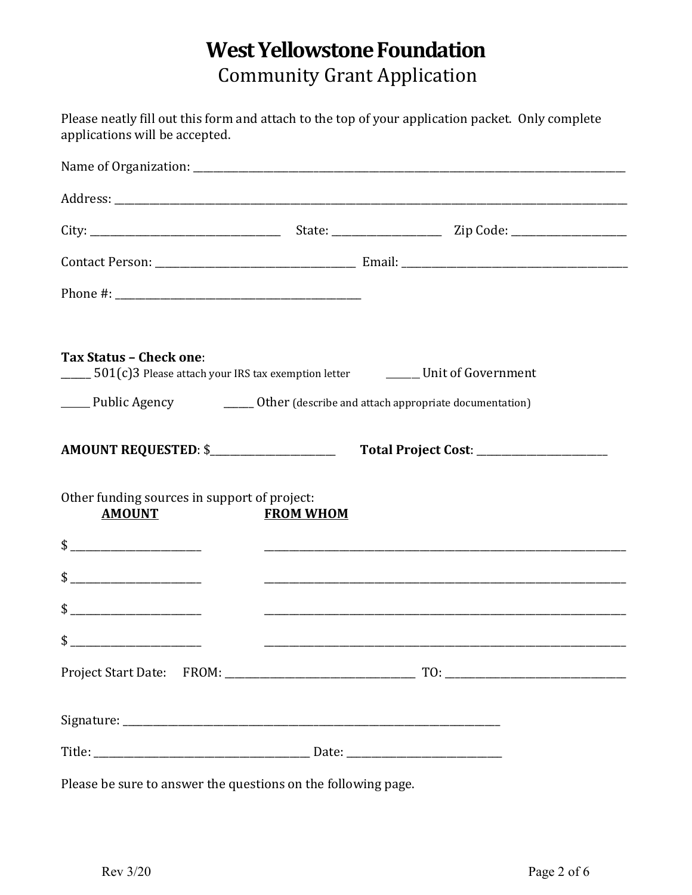## **West Yellowstone Foundation** Community Grant Application

| applications will be accepted.                                                                                                       |                  | Please neatly fill out this form and attach to the top of your application packet. Only complete |  |
|--------------------------------------------------------------------------------------------------------------------------------------|------------------|--------------------------------------------------------------------------------------------------|--|
|                                                                                                                                      |                  |                                                                                                  |  |
|                                                                                                                                      |                  |                                                                                                  |  |
|                                                                                                                                      |                  |                                                                                                  |  |
|                                                                                                                                      |                  |                                                                                                  |  |
|                                                                                                                                      |                  |                                                                                                  |  |
|                                                                                                                                      |                  |                                                                                                  |  |
| <b>Tax Status - Check one:</b><br>$\frac{1}{2}$ 501(c)3 Please attach your IRS tax exemption letter $\frac{1}{2}$ Unit of Government |                  |                                                                                                  |  |
| ______ Public Agency ____________________Other (describe and attach appropriate documentation)                                       |                  |                                                                                                  |  |
| AMOUNT REQUESTED: \$                                                                                                                 |                  |                                                                                                  |  |
| Other funding sources in support of project:<br><b>AMOUNT</b>                                                                        | <b>FROM WHOM</b> |                                                                                                  |  |
|                                                                                                                                      |                  | $\frac{1}{2}$                                                                                    |  |
|                                                                                                                                      |                  |                                                                                                  |  |
| $\qquad \qquad \bullet$                                                                                                              |                  |                                                                                                  |  |
| $\frac{1}{2}$                                                                                                                        |                  |                                                                                                  |  |
|                                                                                                                                      |                  |                                                                                                  |  |
|                                                                                                                                      |                  |                                                                                                  |  |
|                                                                                                                                      |                  |                                                                                                  |  |

Please be sure to answer the questions on the following page.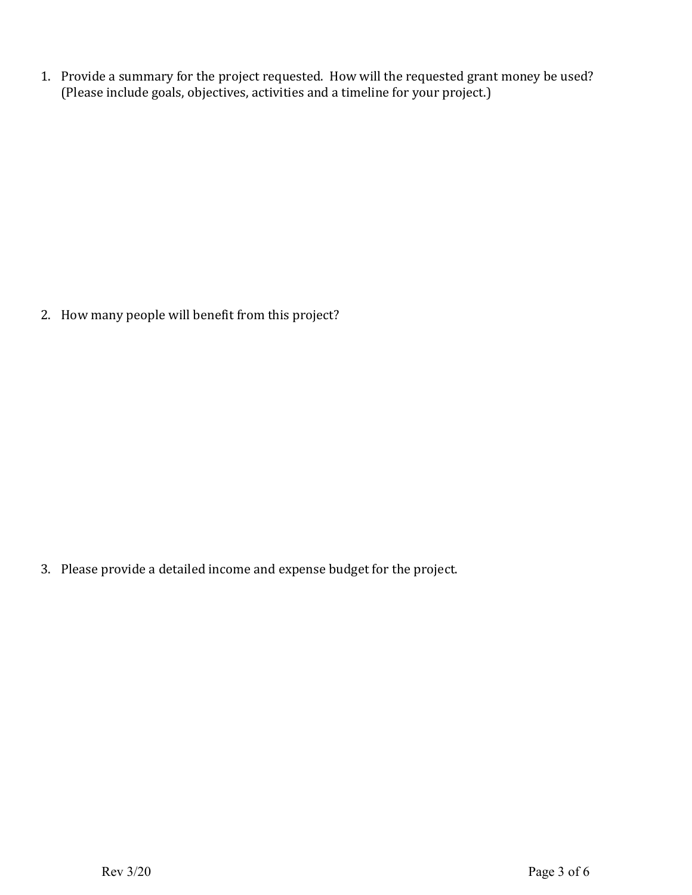1. Provide a summary for the project requested. How will the requested grant money be used? (Please include goals, objectives, activities and a timeline for your project.)

2. How many people will benefit from this project?

3. Please provide a detailed income and expense budget for the project.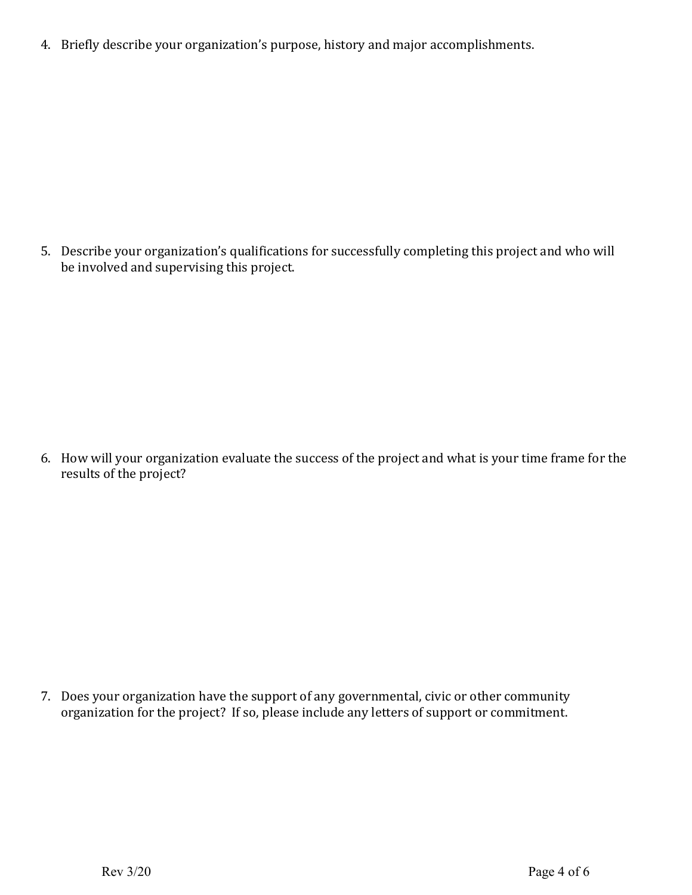4. Briefly describe your organization's purpose, history and major accomplishments.

5. Describe your organization's qualifications for successfully completing this project and who will be involved and supervising this project.

6. How will your organization evaluate the success of the project and what is your time frame for the results of the project?

7. Does your organization have the support of any governmental, civic or other community organization for the project? If so, please include any letters of support or commitment.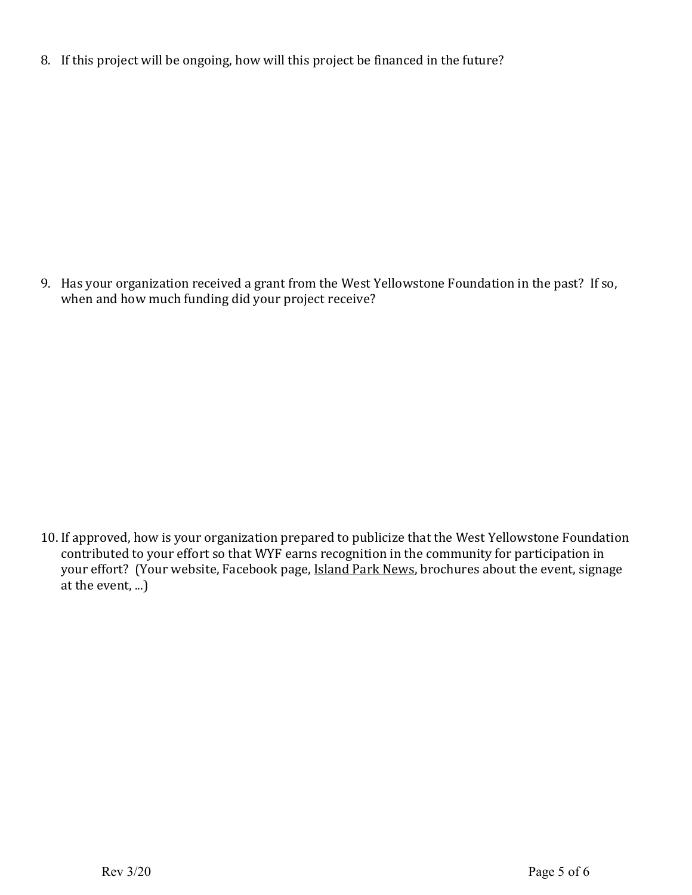8. If this project will be ongoing, how will this project be financed in the future?

9. Has your organization received a grant from the West Yellowstone Foundation in the past? If so, when and how much funding did your project receive?

10. If approved, how is your organization prepared to publicize that the West Yellowstone Foundation contributed to your effort so that WYF earns recognition in the community for participation in your effort? (Your website, Facebook page, Island Park News, brochures about the event, signage at the event, ...)